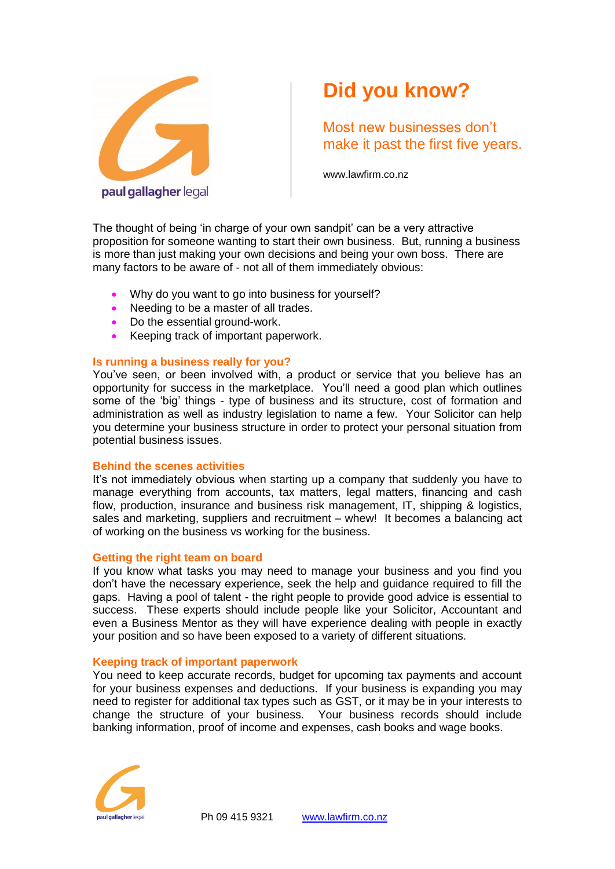

# **Did you know?**

Most new businesses don't make it past the first five years.

www.lawfirm.co.nz

The thought of being 'in charge of your own sandpit' can be a very attractive proposition for someone wanting to start their own business. But, running a business is more than just making your own decisions and being your own boss. There are many factors to be aware of - not all of them immediately obvious:

- Why do you want to go into business for yourself?
- Needing to be a master of all trades.
- Do the essential ground-work.
- Keeping track of important paperwork.

## **Is running a business really for you?**

You've seen, or been involved with, a product or service that you believe has an opportunity for success in the marketplace. You'll need a good plan which outlines some of the 'big' things - type of business and its structure, cost of formation and administration as well as industry legislation to name a few. Your Solicitor can help you determine your business structure in order to protect your personal situation from potential business issues.

### **Behind the scenes activities**

It's not immediately obvious when starting up a company that suddenly you have to manage everything from accounts, tax matters, legal matters, financing and cash flow, production, insurance and business risk management, IT, shipping & logistics, sales and marketing, suppliers and recruitment – whew! It becomes a balancing act of working on the business vs working for the business.

### **Getting the right team on board**

If you know what tasks you may need to manage your business and you find you don't have the necessary experience, seek the help and guidance required to fill the gaps. Having a pool of talent - the right people to provide good advice is essential to success. These experts should include people like your Solicitor, Accountant and even a Business Mentor as they will have experience dealing with people in exactly your position and so have been exposed to a variety of different situations.

### **Keeping track of important paperwork**

You need to keep accurate records, budget for upcoming tax payments and account for your business expenses and deductions. If your business is expanding you may need to register for additional tax types such as GST, or it may be in your interests to change the structure of your business. Your business records should include banking information, proof of income and expenses, cash books and wage books.